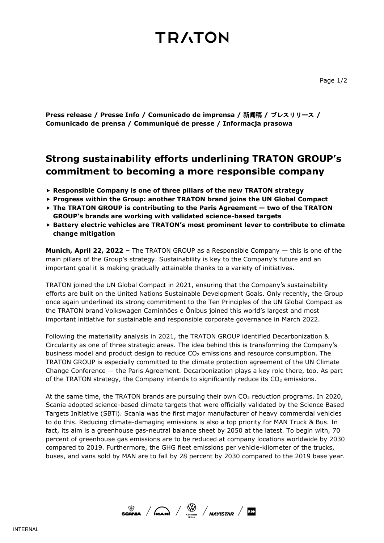## **TRATON**

**Press release / Presse Info / Comunicado de imprensa / 新闻稿 /** プレスリリース **/ Comunicado de prensa / Communiqué de presse / Informacja prasowa**

### **Strong sustainability efforts underlining TRATON GROUP's commitment to becoming a more responsible company**

- **Responsible Company is one of three pillars of the new TRATON strategy**
- **Progress within the Group: another TRATON brand joins the UN Global Compact**
- **The TRATON GROUP is contributing to the Paris Agreement — two of the TRATON GROUP's brands are working with validated science-based targets**
- **Battery electric vehicles are TRATON's most prominent lever to contribute to climate change mitigation**

**Munich, April 22, 2022 –** The TRATON GROUP as a Responsible Company — this is one of the main pillars of the Group's strategy. Sustainability is key to the Company's future and an important goal it is making gradually attainable thanks to a variety of initiatives.

TRATON joined the UN Global Compact in 2021, ensuring that the Company's sustainability efforts are built on the United Nations Sustainable Development Goals. Only recently, the Group once again underlined its strong commitment to the Ten Principles of the UN Global Compact as the TRATON brand Volkswagen Caminhões e Ônibus joined this world's largest and most important initiative for sustainable and responsible corporate governance in March 2022.

Following the materiality analysis in 2021, the TRATON GROUP identified Decarbonization & Circularity as one of three strategic areas. The idea behind this is transforming the Company's business model and product design to reduce  $CO<sub>2</sub>$  emissions and resource consumption. The TRATON GROUP is especially committed to the climate protection agreement of the UN Climate Change Conference — the Paris Agreement. Decarbonization plays a key role there, too. As part of the TRATON strategy, the Company intends to significantly reduce its  $CO<sub>2</sub>$  emissions.

At the same time, the TRATON brands are pursuing their own  $CO<sub>2</sub>$  reduction programs. In 2020, Scania adopted science-based climate targets that were officially validated by the Science Based Targets Initiative (SBTi). Scania was the first major manufacturer of heavy commercial vehicles to do this. Reducing climate-damaging emissions is also a top priority for MAN Truck & Bus. In fact, its aim is a greenhouse gas-neutral balance sheet by 2050 at the latest. To begin with, 70 percent of greenhouse gas emissions are to be reduced at company locations worldwide by 2030 compared to 2019. Furthermore, the GHG fleet emissions per vehicle-kilometer of the trucks, buses, and vans sold by MAN are to fall by 28 percent by 2030 compared to the 2019 base year.